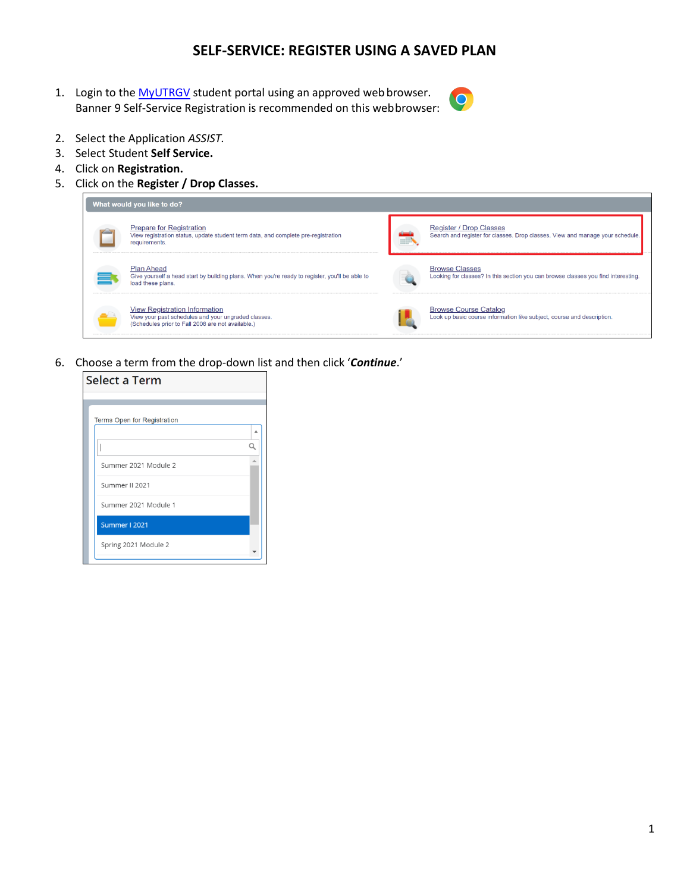## **SELF-SERVICE: REGISTER USING A SAVED PLAN**

1. Login to the [MyUTRGV](https://my.utrgv.edu/home) student portal using an approved web browser. Banner 9 Self-Service Registration is recommended on this webbrowser:



- 2. Select the Application *ASSIST.*
- 3. Select Student **Self Service.**
- 4. Click on **Registration.**
- 5. Click on the **Register / Drop Classes.**



6. Choose a term from the drop-down list and then click '*Continue*.'

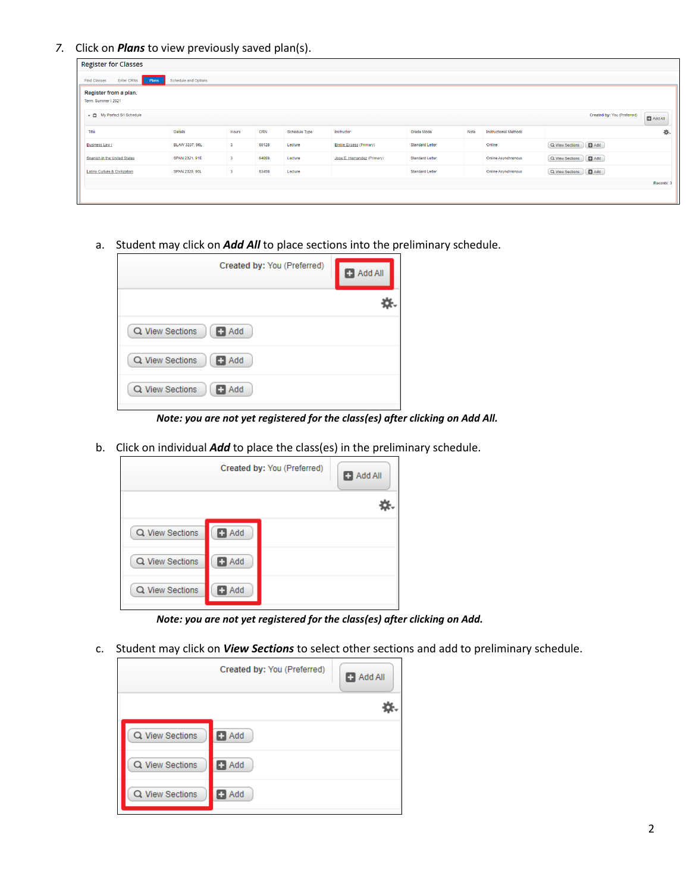*7.* Click on *Plans* to view previously saved plan(s).

| <b>Register for Classes</b>   |                               |                         |       |               |                                |                        |      |                              |                         |                             |                |  |
|-------------------------------|-------------------------------|-------------------------|-------|---------------|--------------------------------|------------------------|------|------------------------------|-------------------------|-----------------------------|----------------|--|
| Find Classes<br>Enter CRNs    | Schedule and Options<br>Plans |                         |       |               |                                |                        |      |                              |                         |                             |                |  |
| Register from a plan.         |                               |                         |       |               |                                |                        |      |                              |                         |                             |                |  |
| Term: Summer I 2021           |                               |                         |       |               |                                |                        |      |                              |                         |                             |                |  |
| ▼ 白 My Perfect S1 Schedule    |                               |                         |       |               |                                |                        |      |                              |                         | Created by: You (Preferred) | $\Box$ Add All |  |
| Title                         | Details                       | Hours                   | CRN   | Schedule Type | Instructor                     | Grade Mode             | Note | <b>Instructional Methods</b> |                         |                             | 券.             |  |
| <b>Business Law I</b>         | <b>BLAW 3337, 90L</b>         | $\overline{\mathbf{3}}$ | 60128 | Lecture       | <b>Binkie Excess (Primary)</b> | <b>Standard Letter</b> |      | Online                       | Q View Sections G Add   |                             |                |  |
| Spanish in the United States  | SPAN 2321, 91E                | $\overline{\mathbf{3}}$ | 64088 | Lecture       | Jose E. Hernandez (Primary)    | <b>Standard Letter</b> |      | <b>Online Asynchronous</b>   | Q View Sections   B Add |                             |                |  |
| Latino Culture & Civilization | <b>SPAN 2320, 90L</b>         | 3                       | 63458 | Lecture       |                                | <b>Standard Letter</b> |      | <b>Online Asynchronous</b>   | Q View Sections     Add |                             |                |  |
|                               |                               |                         |       |               |                                |                        |      |                              |                         |                             | Records: 3     |  |
|                               |                               |                         |       |               |                                |                        |      |                              |                         |                             |                |  |

a. Student may click on *Add All* to place sections into the preliminary schedule.

| Created by: You (Preferred)   | <b>B</b> Add All |
|-------------------------------|------------------|
|                               |                  |
| Q View Sections<br>$\Box$ Add |                  |
| Q View Sections<br>$\Box$ Add |                  |
| Q View Sections<br>Add<br>о   |                  |

*Note: you are not yet registered for the class(es) after clicking on Add All.*

b. Click on individual *Add* to place the class(es) in the preliminary schedule.

|                 |            | Created by: You (Preferred) | Add All |
|-----------------|------------|-----------------------------|---------|
|                 |            |                             |         |
| Q View Sections | Add<br>֯.  |                             |         |
| Q View Sections | $\Box$ Add |                             |         |
| Q View Sections | Add        |                             |         |

*Note: you are not yet registered for the class(es) after clicking on Add.*

c. Student may click on *View Sections* to select other sections and add to preliminary schedule.

|                 | Created by: You (Preferred) | $\Box$ Add All |
|-----------------|-----------------------------|----------------|
|                 |                             |                |
| Q View Sections | $\blacksquare$ Add          |                |
| Q View Sections | $\blacksquare$ Add          |                |
| Q View Sections | $\blacksquare$ Add          |                |